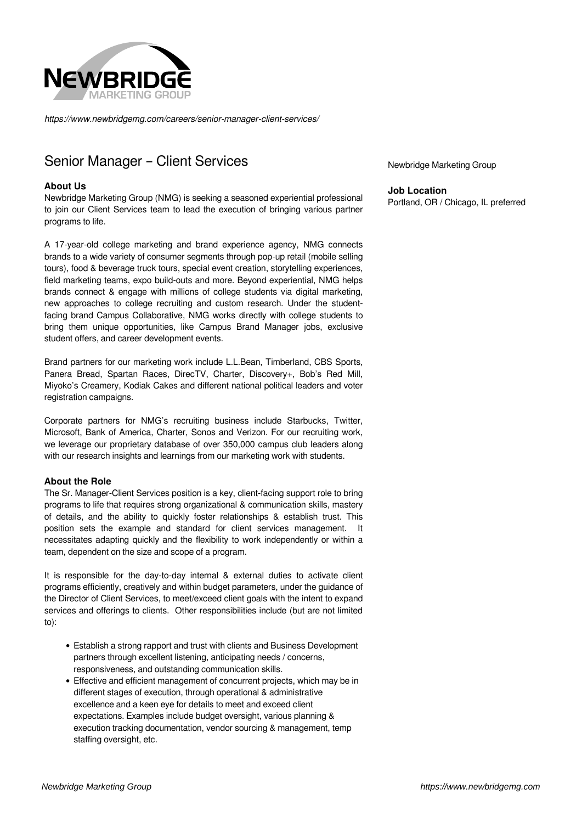

*https://www.newbridgemg.com/careers/senior-manager-client-services/*

# Senior Manager – Client Services

### **About Us**

Newbridge Marketing Group (NMG) is seeking a seasoned experiential professional to join our Client Services team to lead the execution of bringing various partner programs to life.

A 17-year-old college marketing and brand experience agency, NMG connects brands to a wide variety of consumer segments through pop-up retail (mobile selling tours), food & beverage truck tours, special event creation, storytelling experiences, field marketing teams, expo build-outs and more. Beyond experiential, NMG helps brands connect & engage with millions of college students via digital marketing, new approaches to college recruiting and custom research. Under the studentfacing brand Campus Collaborative, NMG works directly with college students to bring them unique opportunities, like Campus Brand Manager jobs, exclusive student offers, and career development events.

Brand partners for our marketing work include L.L.Bean, Timberland, CBS Sports, Panera Bread, Spartan Races, DirecTV, Charter, Discovery+, Bob's Red Mill, Miyoko's Creamery, Kodiak Cakes and different national political leaders and voter registration campaigns.

Corporate partners for NMG's recruiting business include Starbucks, Twitter, Microsoft, Bank of America, Charter, Sonos and Verizon. For our recruiting work, we leverage our proprietary database of over 350,000 campus club leaders along with our research insights and learnings from our marketing work with students.

#### **About the Role**

The Sr. Manager-Client Services position is a key, client-facing support role to bring programs to life that requires strong organizational & communication skills, mastery of details, and the ability to quickly foster relationships & establish trust. This position sets the example and standard for client services management. It necessitates adapting quickly and the flexibility to work independently or within a team, dependent on the size and scope of a program.

It is responsible for the day-to-day internal & external duties to activate client programs efficiently, creatively and within budget parameters, under the guidance of the Director of Client Services, to meet/exceed client goals with the intent to expand services and offerings to clients. Other responsibilities include (but are not limited to):

- Establish a strong rapport and trust with clients and Business Development partners through excellent listening, anticipating needs / concerns, responsiveness, and outstanding communication skills.
- Effective and efficient management of concurrent projects, which may be in different stages of execution, through operational & administrative excellence and a keen eye for details to meet and exceed client expectations. Examples include budget oversight, various planning & execution tracking documentation, vendor sourcing & management, temp staffing oversight, etc.

Newbridge Marketing Group

**Job Location** Portland, OR / Chicago, IL preferred